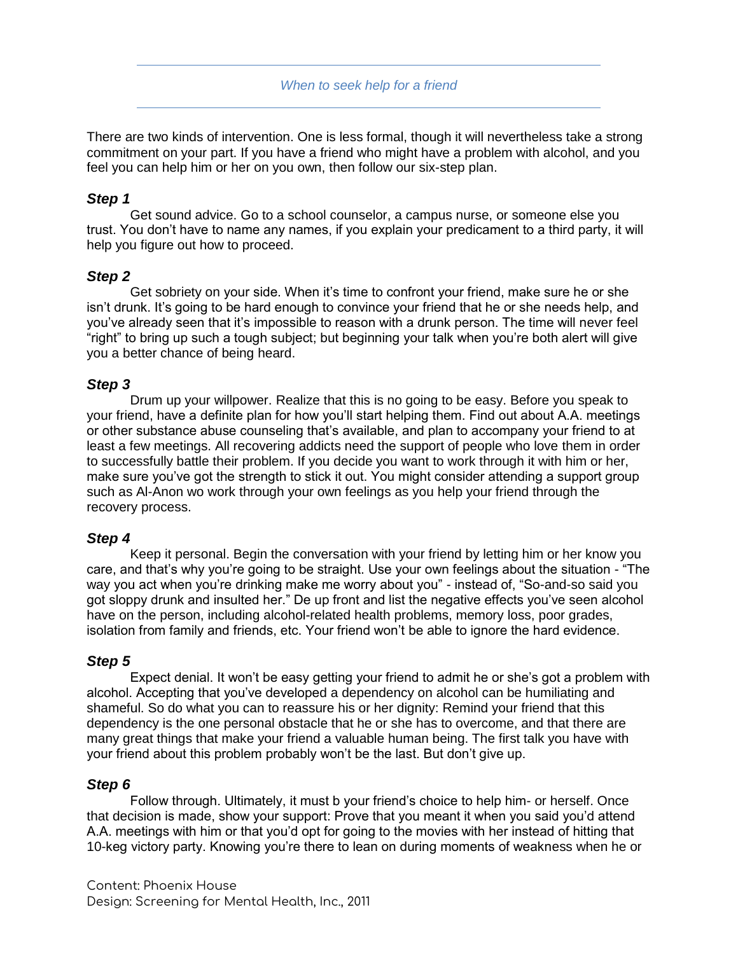*When to seek help for a friend*

There are two kinds of intervention. One is less formal, though it will nevertheless take a strong commitment on your part. If you have a friend who might have a problem with alcohol, and you feel you can help him or her on you own, then follow our six-step plan.

## *Step 1*

Get sound advice. Go to a school counselor, a campus nurse, or someone else you trust. You don't have to name any names, if you explain your predicament to a third party, it will help you figure out how to proceed.

### *Step 2*

Get sobriety on your side. When it's time to confront your friend, make sure he or she isn't drunk. It's going to be hard enough to convince your friend that he or she needs help, and you've already seen that it's impossible to reason with a drunk person. The time will never feel "right" to bring up such a tough subject; but beginning your talk when you're both alert will give you a better chance of being heard.

# *Step 3*

Drum up your willpower. Realize that this is no going to be easy. Before you speak to your friend, have a definite plan for how you'll start helping them. Find out about A.A. meetings or other substance abuse counseling that's available, and plan to accompany your friend to at least a few meetings. All recovering addicts need the support of people who love them in order to successfully battle their problem. If you decide you want to work through it with him or her, make sure you've got the strength to stick it out. You might consider attending a support group such as Al-Anon wo work through your own feelings as you help your friend through the recovery process.

### *Step 4*

Keep it personal. Begin the conversation with your friend by letting him or her know you care, and that's why you're going to be straight. Use your own feelings about the situation - "The way you act when you're drinking make me worry about you" - instead of, "So-and-so said you got sloppy drunk and insulted her." De up front and list the negative effects you've seen alcohol have on the person, including alcohol-related health problems, memory loss, poor grades, isolation from family and friends, etc. Your friend won't be able to ignore the hard evidence.

### *Step 5*

Expect denial. It won't be easy getting your friend to admit he or she's got a problem with alcohol. Accepting that you've developed a dependency on alcohol can be humiliating and shameful. So do what you can to reassure his or her dignity: Remind your friend that this dependency is the one personal obstacle that he or she has to overcome, and that there are many great things that make your friend a valuable human being. The first talk you have with your friend about this problem probably won't be the last. But don't give up.

### *Step 6*

Follow through. Ultimately, it must b your friend's choice to help him- or herself. Once that decision is made, show your support: Prove that you meant it when you said you'd attend A.A. meetings with him or that you'd opt for going to the movies with her instead of hitting that 10-keg victory party. Knowing you're there to lean on during moments of weakness when he or